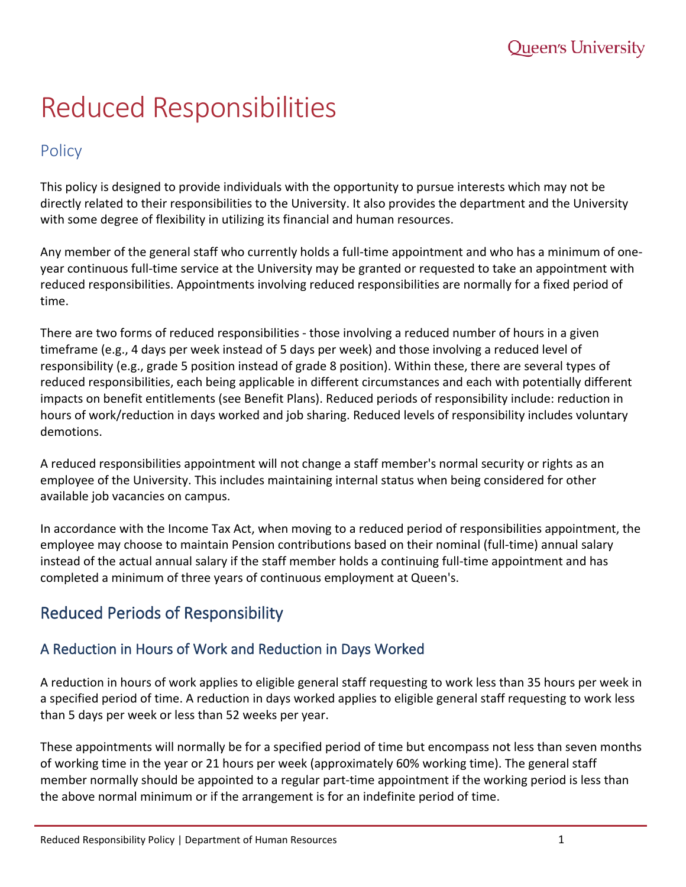# Reduced Responsibilities

### Policy

This policy is designed to provide individuals with the opportunity to pursue interests which may not be directly related to their responsibilities to the University. It also provides the department and the University with some degree of flexibility in utilizing its financial and human resources.

Any member of the general staff who currently holds a full-time appointment and who has a minimum of oneyear continuous full-time service at the University may be granted or requested to take an appointment with reduced responsibilities. Appointments involving reduced responsibilities are normally for a fixed period of time.

There are two forms of reduced responsibilities - those involving a reduced number of hours in a given timeframe (e.g., 4 days per week instead of 5 days per week) and those involving a reduced level of responsibility (e.g., grade 5 position instead of grade 8 position). Within these, there are several types of reduced responsibilities, each being applicable in different circumstances and each with potentially different impacts on benefit entitlements (see Benefit Plans). Reduced periods of responsibility include: reduction in hours of work/reduction in days worked and job sharing. Reduced levels of responsibility includes voluntary demotions.

A reduced responsibilities appointment will not change a staff member's normal security or rights as an employee of the University. This includes maintaining internal status when being considered for other available job vacancies on campus.

In accordance with the Income Tax Act, when moving to a reduced period of responsibilities appointment, the employee may choose to maintain Pension contributions based on their nominal (full-time) annual salary instead of the actual annual salary if the staff member holds a continuing full-time appointment and has completed a minimum of three years of continuous employment at Queen's.

## Reduced Periods of Responsibility

#### A Reduction in Hours of Work and Reduction in Days Worked

A reduction in hours of work applies to eligible general staff requesting to work less than 35 hours per week in a specified period of time. A reduction in days worked applies to eligible general staff requesting to work less than 5 days per week or less than 52 weeks per year.

These appointments will normally be for a specified period of time but encompass not less than seven months of working time in the year or 21 hours per week (approximately 60% working time). The general staff member normally should be appointed to a regular part-time appointment if the working period is less than the above normal minimum or if the arrangement is for an indefinite period of time.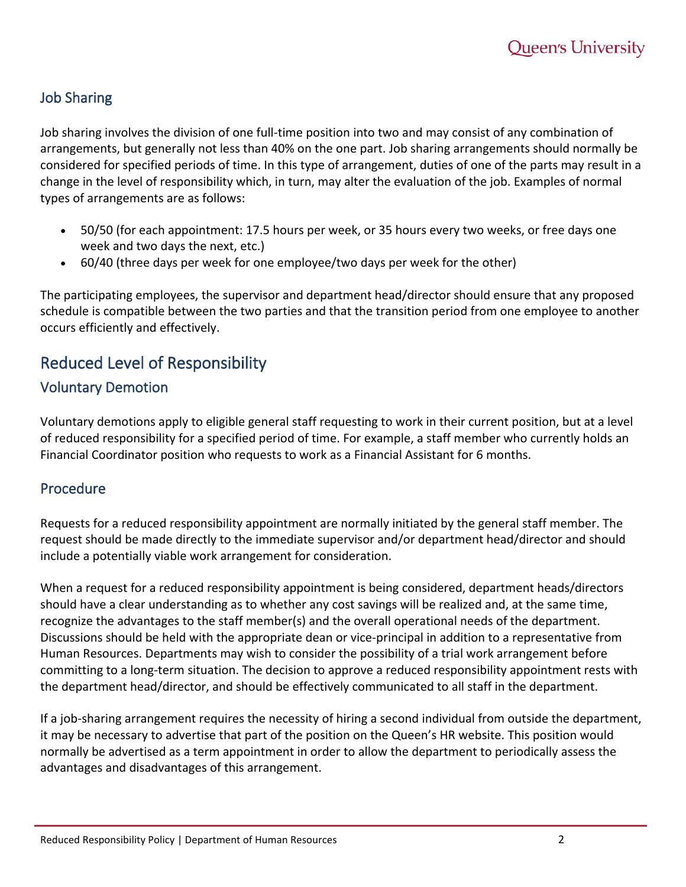#### Job Sharing

Job sharing involves the division of one full-time position into two and may consist of any combination of arrangements, but generally not less than 40% on the one part. Job sharing arrangements should normally be considered for specified periods of time. In this type of arrangement, duties of one of the parts may result in a change in the level of responsibility which, in turn, may alter the evaluation of the job. Examples of normal types of arrangements are as follows:

- 50/50 (for each appointment: 17.5 hours per week, or 35 hours every two weeks, or free days one week and two days the next, etc.)
- 60/40 (three days per week for one employee/two days per week for the other)

The participating employees, the supervisor and department head/director should ensure that any proposed schedule is compatible between the two parties and that the transition period from one employee to another occurs efficiently and effectively.

# Reduced Level of Responsibility

#### Voluntary Demotion

Voluntary demotions apply to eligible general staff requesting to work in their current position, but at a level of reduced responsibility for a specified period of time. For example, a staff member who currently holds an Financial Coordinator position who requests to work as a Financial Assistant for 6 months.

#### Procedure

Requests for a reduced responsibility appointment are normally initiated by the general staff member. The request should be made directly to the immediate supervisor and/or department head/director and should include a potentially viable work arrangement for consideration.

When a request for a reduced responsibility appointment is being considered, department heads/directors should have a clear understanding as to whether any cost savings will be realized and, at the same time, recognize the advantages to the staff member(s) and the overall operational needs of the department. Discussions should be held with the appropriate dean or vice-principal in addition to a representative from Human Resources. Departments may wish to consider the possibility of a trial work arrangement before committing to a long-term situation. The decision to approve a reduced responsibility appointment rests with the department head/director, and should be effectively communicated to all staff in the department.

If a job-sharing arrangement requires the necessity of hiring a second individual from outside the department, it may be necessary to advertise that part of the position on the Queen's HR website. This position would normally be advertised as a term appointment in order to allow the department to periodically assess the advantages and disadvantages of this arrangement.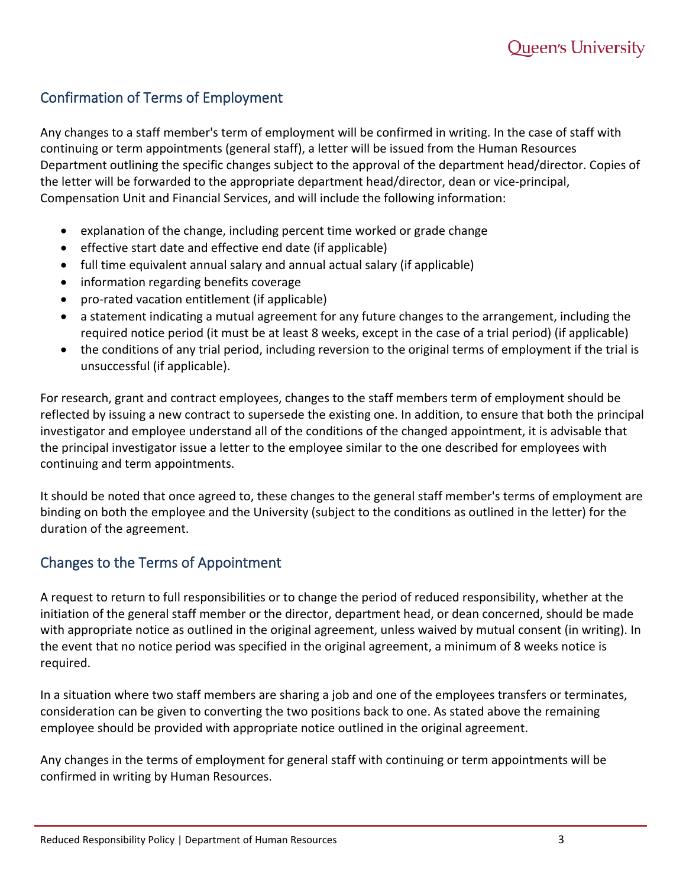#### Confirmation of Terms of Employment

Any changes to a staff member's term of employment will be confirmed in writing. In the case of staff with continuing or term appointments (general staff), a letter will be issued from the Human Resources Department outlining the specific changes subject to the approval of the department head/director. Copies of the letter will be forwarded to the appropriate department head/director, dean or vice-principal, Compensation Unit and Financial Services, and will include the following information:

- explanation of the change, including percent time worked or grade change
- effective start date and effective end date (if applicable)
- full time equivalent annual salary and annual actual salary (if applicable)
- information regarding benefits coverage
- pro-rated vacation entitlement (if applicable)
- a statement indicating a mutual agreement for any future changes to the arrangement, including the required notice period (it must be at least 8 weeks, except in the case of a trial period) (if applicable)
- the conditions of any trial period, including reversion to the original terms of employment if the trial is unsuccessful (if applicable).

For research, grant and contract employees, changes to the staff members term of employment should be reflected by issuing a new contract to supersede the existing one. In addition, to ensure that both the principal investigator and employee understand all of the conditions of the changed appointment, it is advisable that the principal investigator issue a letter to the employee similar to the one described for employees with continuing and term appointments.

It should be noted that once agreed to, these changes to the general staff member's terms of employment are binding on both the employee and the University (subject to the conditions as outlined in the letter) for the duration of the agreement.

#### Changes to the Terms of Appointment

A request to return to full responsibilities or to change the period of reduced responsibility, whether at the initiation of the general staff member or the director, department head, or dean concerned, should be made with appropriate notice as outlined in the original agreement, unless waived by mutual consent (in writing). In the event that no notice period was specified in the original agreement, a minimum of 8 weeks notice is required.

In a situation where two staff members are sharing a job and one of the employees transfers or terminates, consideration can be given to converting the two positions back to one. As stated above the remaining employee should be provided with appropriate notice outlined in the original agreement.

Any changes in the terms of employment for general staff with continuing or term appointments will be confirmed in writing by Human Resources.